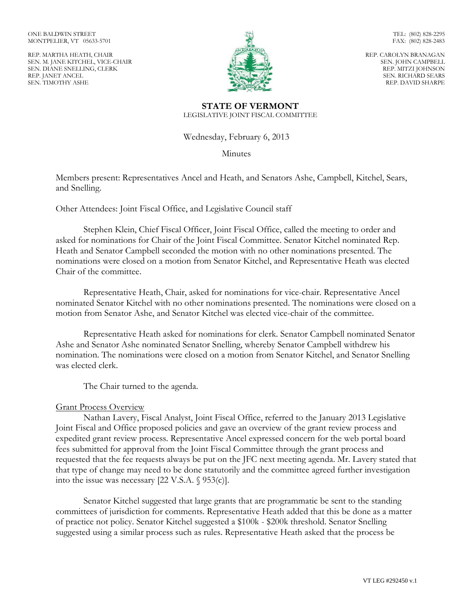ONE BALDWIN STREET MONTPELIER, VT 05633-5701

REP. MARTHA HEATH, CHAIR SEN. M. JANE KITCHEL, VICE-CHAIR SEN. DIANE SNELLING, CLERK REP. JANET ANCEL SEN. TIMOTHY ASHE



TEL: (802) 828-2295 FAX: (802) 828-2483

REP. CAROLYN BRANAGAN SEN. JOHN CAMPBELL REP. MITZI JOHNSON SEN. RICHARD SEARS REP. DAVID SHARPE

**STATE OF VERMONT** LEGISLATIVE JOINT FISCAL COMMITTEE

Wednesday, February 6, 2013

Minutes

Members present: Representatives Ancel and Heath, and Senators Ashe, Campbell, Kitchel, Sears, and Snelling.

Other Attendees: Joint Fiscal Office, and Legislative Council staff

Stephen Klein, Chief Fiscal Officer, Joint Fiscal Office, called the meeting to order and asked for nominations for Chair of the Joint Fiscal Committee. Senator Kitchel nominated Rep. Heath and Senator Campbell seconded the motion with no other nominations presented. The nominations were closed on a motion from Senator Kitchel, and Representative Heath was elected Chair of the committee.

Representative Heath, Chair, asked for nominations for vice-chair. Representative Ancel nominated Senator Kitchel with no other nominations presented. The nominations were closed on a motion from Senator Ashe, and Senator Kitchel was elected vice-chair of the committee.

Representative Heath asked for nominations for clerk. Senator Campbell nominated Senator Ashe and Senator Ashe nominated Senator Snelling, whereby Senator Campbell withdrew his nomination. The nominations were closed on a motion from Senator Kitchel, and Senator Snelling was elected clerk.

The Chair turned to the agenda.

## Grant Process Overview

Nathan Lavery, Fiscal Analyst, Joint Fiscal Office, referred to the January 2013 Legislative Joint Fiscal and Office proposed policies and gave an overview of the grant review process and expedited grant review process. Representative Ancel expressed concern for the web portal board fees submitted for approval from the Joint Fiscal Committee through the grant process and requested that the fee requests always be put on the JFC next meeting agenda. Mr. Lavery stated that that type of change may need to be done statutorily and the committee agreed further investigation into the issue was necessary [22 V.S.A. § 953(c)].

Senator Kitchel suggested that large grants that are programmatic be sent to the standing committees of jurisdiction for comments. Representative Heath added that this be done as a matter of practice not policy. Senator Kitchel suggested a \$100k - \$200k threshold. Senator Snelling suggested using a similar process such as rules. Representative Heath asked that the process be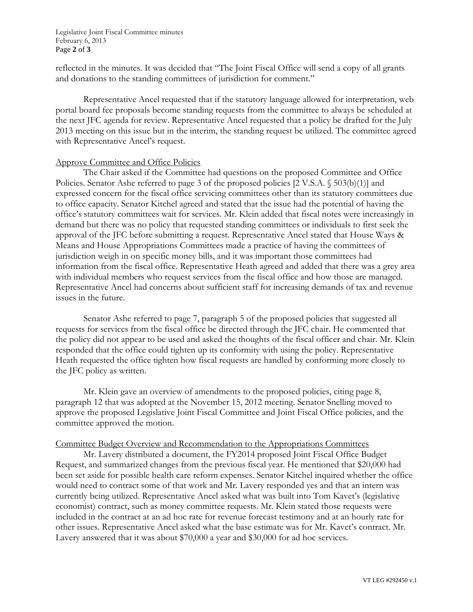Legislative Joint Fiscal Committee minutes February 6, 2013 Page **2** of **3**

reflected in the minutes. It was decided that "The Joint Fiscal Office will send a copy of all grants and donations to the standing committees of jurisdiction for comment."

Representative Ancel requested that if the statutory language allowed for interpretation, web portal board fee proposals become standing requests from the committee to always be scheduled at the next JFC agenda for review. Representative Ancel requested that a policy be drafted for the July 2013 meeting on this issue but in the interim, the standing request be utilized. The committee agreed with Representative Ancel's request.

## Approve Committee and Office Policies

The Chair asked if the Committee had questions on the proposed Committee and Office Policies. Senator Ashe referred to page 3 of the proposed policies [2 V.S.A. § 503(b)(1)] and expressed concern for the fiscal office servicing committees other than its statutory committees due to office capacity. Senator Kitchel agreed and stated that the issue had the potential of having the office's statutory committees wait for services. Mr. Klein added that fiscal notes were increasingly in demand but there was no policy that requested standing committees or individuals to first seek the approval of the JFC before submitting a request. Representative Ancel stated that House Ways & Means and House Appropriations Committees made a practice of having the committees of jurisdiction weigh in on specific money bills, and it was important those committees had information from the fiscal office. Representative Heath agreed and added that there was a grey area with individual members who request services from the fiscal office and how those are managed. Representative Ancel had concerns about sufficient staff for increasing demands of tax and revenue issues in the future.

Senator Ashe referred to page 7, paragraph 5 of the proposed policies that suggested all requests for services from the fiscal office be directed through the JFC chair. He commented that the policy did not appear to be used and asked the thoughts of the fiscal officer and chair. Mr. Klein responded that the office could tighten up its conformity with using the policy. Representative Heath requested the office tighten how fiscal requests are handled by conforming more closely to the JFC policy as written.

Mr. Klein gave an overview of amendments to the proposed policies, citing page 8, paragraph 12 that was adopted at the November 15, 2012 meeting. Senator Snelling moved to approve the proposed Legislative Joint Fiscal Committee and Joint Fiscal Office policies, and the committee approved the motion.

## Committee Budget Overview and Recommendation to the Appropriations Committees

Mr. Lavery distributed a document, the FY2014 proposed Joint Fiscal Office Budget Request, and summarized changes from the previous fiscal year. He mentioned that \$20,000 had been set aside for possible health care reform expenses. Senator Kitchel inquired whether the office would need to contract some of that work and Mr. Lavery responded yes and that an intern was currently being utilized. Representative Ancel asked what was built into Tom Kavet's (legislative economist) contract, such as money committee requests. Mr. Klein stated those requests were included in the contract at an ad hoc rate for revenue forecast testimony and at an hourly rate for other issues. Representative Ancel asked what the base estimate was for Mr. Kavet's contract. Mr. Lavery answered that it was about \$70,000 a year and \$30,000 for ad hoc services.